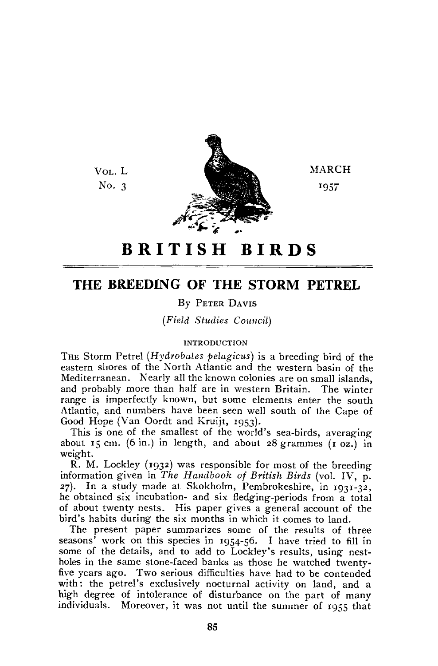Vot. L No.  $3$ 



**MARCH** 1957

# **BRITIS H BIRD S**

## THE BREEDING OF THE STORM PETREL

## By PETER DAVIS

*(Field Studies Council)* 

## INTRODUCTION

THE Storm Petrel *(Hydrobates pelagicus)* is a breeding bird of the eastern shores of the North Atlantic and the western basin of the Mediterranean. Nearly all the known colonies are on small islands, and probably more than half are in western Britain. The winter range is imperfectly known, but some elements enter the south Atlantic, and numbers have been seen well south of the Cape of Good Hope (Van Oordt and Kruijt, 1953).

This is one of the smallest of the world's sea-birds, averaging about 15 cm. (6 in.) in length, and about 28 grammes  $(1 \text{ oz.})$  in weight.

R. M. Lockley (1932) was responsible for most of the breeding information given in The Handbook of British Birds (vol. IV, p. 27). In a study made at Skokholm, Pembrokeshire, in 1931-32, he obtained six incubation- and six fledging-periods from a total of about twenty nests. His paper gives a general account of the bird's habits during the six months in which it comes to land.

The present paper summarizes some of the results of three seasons' work on this species in 1954-56. I have tried to fill in some of the details, and to add to Lockley's results, using nestholes in the same stone-faced banks as those he watched twentyfive years ago. Two serious difficulties have had to be contended with: the petrel's exclusively nocturnal activity on land, and a high degree of intolerance of disturbance on the part of many individuals. Moreover, it was not until the summer of 1955 that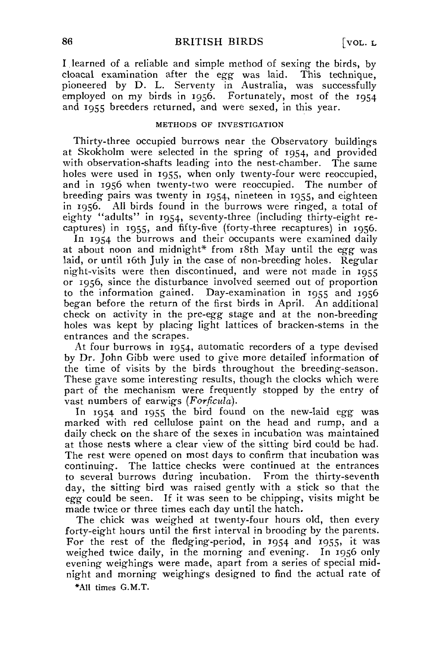I learned of a reliable and simple method of sexing the birds, by cloacal examination after the *egg* was laid. This technique, pioneered by D. L. Serventy in Australia, was successfully employed on my birds in 1956. Fortunately, most of the  $1954$ and 1955 breeders returned, and were sexed, in this year.

## METHODS OF INVESTIGATION

Thirty-three occupied burrows near the Observatory buildings at Skokholm were selected in the spring- of 1954, and provided with observation-shafts leading into the nest-chamber. The same holes were used in 1955, when only twenty-four were reoccupied, and in 1956 when twenty-two were reoccupied. The number of breeding pairs was twenty in 1954, nineteen in 1955, and eighteen in 1956. All birds found in the burrows were ringed, a total of eighty "adults" in 1954, seventy-three (including thirty-eight recaptures) in 1955, and fifty-five (forty-three recaptures) in 1956.

In 1954 the burrows and their occupants were examined daily at about noon and midnight\* from i8th May until the *egg* was laid, or until 16th July in the case of non-breeding holes. Regular night-visits were then discontinued, and were not made in 1955 or 1956, since the disturbance involved seemed out of proportion to the information gained. Day-examination in 1955 and 1956 began before the return of the first birds in April. An additional check on activity in the pre-egg stage and at the non-breeding holes was kept by placing light lattices of bracken-stems in the entrances and the scrapes.

At four burrows in 1954, automatic recorders of a type devised by Dr. John Gibb were used to give more detailed' information of the time of visits by the birds throughout the breeding-season. These gave some interesting results, though the clocks which were part of the mechanism were frequently stopped by the entry of vast numbers of earwigs *(Forficula).* 

In 1954 and 1955 the bird found on the new-laid *egg* was marked with red cellulose paint on the head and rump, and a daily check on the share of the sexes in incubation was maintained at those nests where a clear view of the sitting bird could be had. The rest were opened on most days to confirm that incubation was continuing. The lattice checks were continued at the entrances to several burrows during incubation. From the thirty-seventh day, the sitting bird was raised gently with a stick so that the *egg* could be seen. If it was seen to be chipping, visits might be made twice or three times each day until the hatch.

The chick was weighed at twenty-four hours old, then every forty-eight hours until the first interval in brooding by the parents. For the rest of the fledging-period, in 1954 and 1955, it was weighed twice daily, in the morning and' evening. In 1956 only evening weighings were made, apart from a series of special midnight and morning weighings designed to find the actual rate of

•All times G.M.T.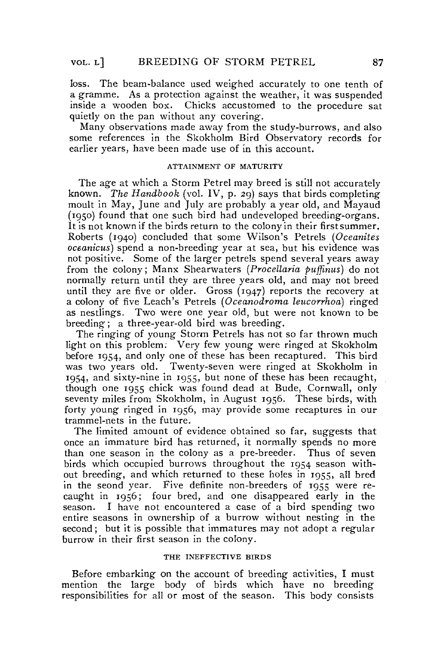loss. The beam-balance used weighed accurately to one tenth of a gramme. As a protection against the weather, it was suspended inside a wooden box. Chicks accustomed to the procedure sat quietly on the pan without any covering.

Many observations made away from the study-burrows, and also some references in the Skokholm Bird Observatory records for earlier years, have been made use of in this account.

## ATTAINMENT OF MATURITY

The age at which a Storm Petrel may breed is still not accurately known. *The Handbook* (vol. IV, p. 29) says that birds completing moult in May, June and July are probably a year old, and Mayaud (1950) found that one such bird had undeveloped breeding-organs. It is not known if the birds return to the colony in their first summer. Roberts (1940) concluded that some Wilson's Petrels *(Oceanites oceanicus)* spend a non-breeding year at sea, but his evidence was not positive. Some of the larger petrels spend several years away from the colony; Manx Shearwaters *(Procellaria puffinus)* do not normally return until they are three years old, and may not breed until they are five or older. Gross (1947) reports the recovery at a colony of five Leach's Petrels *(Oceanodrorna leucorrhoa)* ringed as nestlings. Two were one year old, but were not known to be breeding; a three-year-old bird was breeding.

The ringing of young Storm Petrels has not so far thrown much light on this problem; Very few young were ringed at Skokholm before 1954, and only one of these has been recaptured. This bird was two years old. Twenty-seven were ringed at Skokholm in 1954, and sixty-nine in 1955, but none of these has been recaught, though one 1955 chick was found dead at Bude, Cornwall, only seventy miles from Skokholm, in August 1956. These birds, with forty young ringed in 1956, may provide some recaptures in our trammel-nets in the future.

The limited amount of evidence obtained so far, suggests that once an immature bird has returned, it normally spends no more than one season in the colony as a pre-breeder. Thus of seven birds which occupied burrows throughout the 1954 season without breeding, and which returned to these holes in 1955, all bred in the seond year. Five definite non-breeders of 1955 were recaught in 1956; four bred, and one disappeared early in the season. I have not encountered a case of a bird spending two entire seasons in ownership of a burrow without nesting in the second; but it is possible that immatures may not adopt a regular burrow in their first season in the colony.

## THE INEFFECTIVE BIRDS

Before embarking on the account of breeding activities, I must mention the large body of birds which have no breeding responsibilities for all or most of the season. This body consists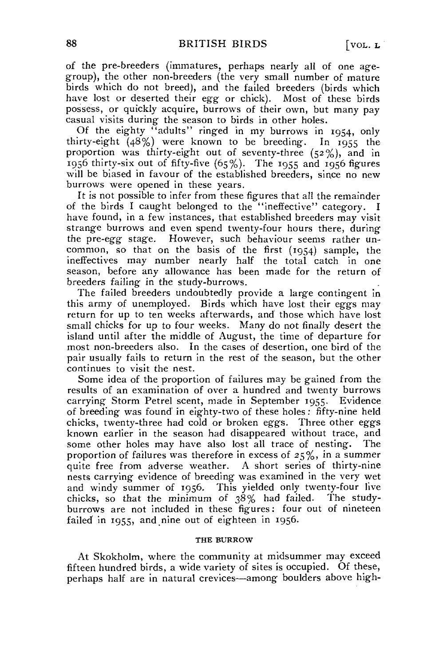of the pre-breeders (immatures, perhaps nearly all of one agegroup), the other non-breeders (the very small number of mature birds which do not breed), and the failed breeders (birds which have lost or deserted their egg or chick). Most of these birds possess, or quickly acquire, burrows of their own, but many pay Casual visits during the season to birds in other holes.

Of the eighty "adults" ringed in my burrows in 1954, only thirty-eight (48%) were known to be breeding. In 1955 the proportion was thirty-eight out of seventy-three  $(52\%)$ , and in  $1956$  thirty-six out of fifty-five  $(65\%)$ . The 1955 and 1956 figures will be biased in favour of the established breeders, since no new burrows were opened in these years.

It is not possible to infer from these figures that all the remainder of the birds I caught belonged to the "ineffective" category. I have found, in a few instances, that established breeders may visit strange burrows and even spend twenty-four hours there, during the pre-egg stage. However, such behaviour seems rather uncommon, so that on the basis of the first (1954) sample, the ineffeetives may number nearly half the total catch in one season, before any allowance has been made for the return of breeders failing in the study-burrows.

The failed breeders undoubtedly provide a large contingent in this army of unemployed. Birds which have lost their eggs may return for up to ten weeks afterwards, and those which have lost small chicks for up to four weeks. Many do not finally desert the island until after the middle of August, the time of departure for most non-breeders also. In the cases of desertion, one bird of the pair usually fails to return in the rest of the season, but the other continues to visit the nest.

Some idea of the proportion of failures may be gained from the results of an examination of over a hundred and twenty burrows carrying Storni Petrel scent, made in September 1955. Evidence of breeding was found in eighty-two of these holes: fifty-nine held chicks, twenty-three had cold or broken eggs. Three other eggs known earlier in the season had disappeared without trace, and some other holes may have also lost all trace of nesting. The proportion of failures was therefore in excess of 25%, in a summer quite free from adverse weather. A short series of thirty-nine nests carrying evidence of breeding was examined in the very wet and windy summer of 1956. This yielded only twenty-four live chicks, so that the minimum of 38% had failed. The studyburrows are not included in these figures: four out of nineteen failed in 1955, and nine out of eighteen in 1956.

#### THE BURROW

At Skokholm, where the community at midsummer may exceed fifteen hundred birds, a wide variety of sites is occupied. Of these, perhaps half are in natural crevices—among boulders above high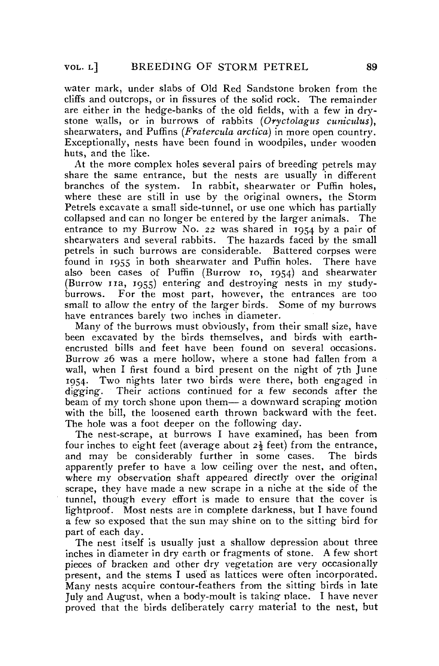water mark, under slabs of Old Red Sandstone broken from the cliffs and outcrops, or in fissures of the solid rock. The remainder are either in the hedge-banks of the old fields, with a few in drystone walls, or in burrows of rabbits *(Oryctolagus cuniculus),*  shearwaters, and Puffins *(Fratercula arctica)* in more open country. Exceptionally, nests have been found in woodpiles, under wooden huts, and the like.

At the more complex holes several pairs of breeding petrels may share the same entrance, but the nests are usually in different branches of the system. In rabbit, shearwater or Puffin holes, where these are still in use by the original owners, the Storm Petrels excavate a small side-tunnel, or use one which has partially collapsed and can no longer be entered by the larger animals. The entrance to my Burrow No. *22* was shared in 1954 by a pair of shearwaters and several rabbits. The hazards faced by the small petrels in such burrows are considerable. Battered corpses were found in 1955 in both shearwater and Puffin holes. There have also been cases of Puffin (Burrow 10, 1954) and shearwater (Burrow 11a, 1955) entering and' destroying nests in my studyburrows. For the most part, however, the entrances are too small to allow the entry of the larger birds. Some of my burrows have entrances barely two inches in diameter.

Many of the burrows must obviously, from their small size, have been excavated by the birds themselves, and birds with earthencrusted bills and feet have been found on several occasions. Burrow 26 was a mere hollow, where a stone had fallen from a wall, when I first found a bird present on the night of 7th June 1954. Two nights later two birds were there, both engaged in digging. Their actions continued for a few seconds after the beam of my torch shone upon them— a downward scraping motion with the bill, the loosened earth thrown backward with the feet. The hole was a foot deeper on the following day.

The nest-scrape, at burrows I have examined, has been from four inches to eight feet (average about *2\* feet) from the entrance, and may be considerably further in some cases. The birds apparently prefer to have a low ceiling over the nest, and often, where my observation shaft appeared directly over the original scrape, they have made a new scrape in a niche at the side of the tunnel, though every effort is made to ensure that the Cover is Iightproof. Most nests are in complete darkness, but I have found a few so exposed that the sun may shine on to the sitting bird for part of each day.

The nest itself is usually just a shallow depression about three inches in diameter in dry earth or fragments of stone. A few short pieces of bracken and other dry vegetation are very occasionally present, and the stems I used' as lattices were often incorporated. Many nests acquire contour-feathers from the sitting birds in late July and August, when a body-moult is taking place. I have never proved that the birds deliberately carry material to the nest, but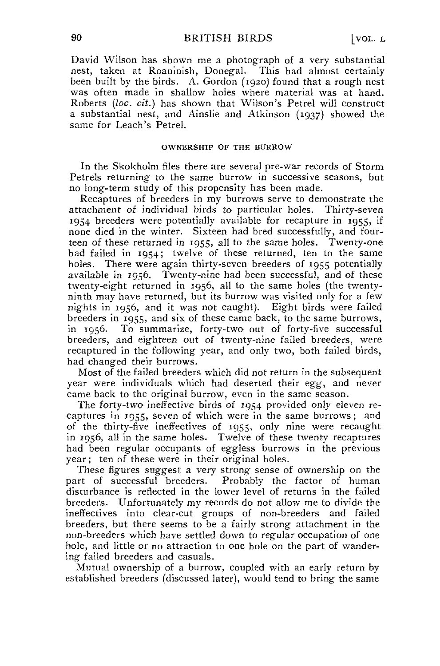David Wilson has shown me a photograph of a very substantial nest, taken at Roaninish, Donegal. This had almost certainly been built by the birds. A. Gordon (1920) found that a rough nest was often made in shallow holes where material was at hand. Roberts *(loc. cit.)* has shown that Wilson's Petrel will construct a substantial nest, and Ainslie and Atkinson (1937) showed the same for Leach's Petrel.

## OWNERSHIP OF THE BURROW

In the Skokholm files there are several pre-war records of Storm Petrels returning to the same burrow in successive seasons, but no long-term study of this propensity has been made.

Recaptures of breeders in my burrows serve to demonstrate the attachment of individual birds to particular holes. Thirty-seven 1954 breeders were potentially available for recapture in 1955, if none died in the winter. Sixteen had bred successfully, and fourteen of these returned in 1955, all to the same holes. Twenty-one had failed in 1954; twelve of these returned, ten to the same holes. There were again thirty-seven breeders of 1955 potentially available in 1956. Twenty-nine had been successful, and of these twenty-eight returned in 1956, all to the same holes (the twentyninth may have returned, but its burrow was visited only for a few nights in 1956, and it was not caught). Eight birds were failed breeders in 1955, and six of these came back, to the same burrows, in 1956. To summarize, forty-two out of forty-five sueeessful breeders, and eighteen out of twenty-nine failed breeders, were recaptured in the following year, and only two, both failed birds, had changed their burrows.

Most of the failed breeders which did not return in the subsequent year were individuals which had deserted their *egg,* and never came back to the original burrow, even in the same season.

The forty-two ineffective birds of 1954 provided only eleven recaptures in 1955, seven of which were in the same burrows; and of the thirty-five ineffectives of 1955, only nine were recaught in 1956, all in the same holes. Twelve of these twenty recaptures had been regulär occupants of eggless burrows in the previous year; ten of these were in their original holes.

These figures suggest a very strong sense of ownership on the part of successful breeders. Probably the factor of human disturbance is reflected in the lower level of returns in the failed breeders. Unfortunately my records do not allow me to divide the ineffectives into clear-cut groups of non-breeders and failed breeders, but there seems to be a fairly strong attachment in the non-breeders which have settled down to regulär occupation of one hole, and little or no attraction to one hole on the part of wandering failed breeders and casuals.

Mutual ownership of a burrow, coupled with an early return by established breeders (discussed later), would tend to bring the same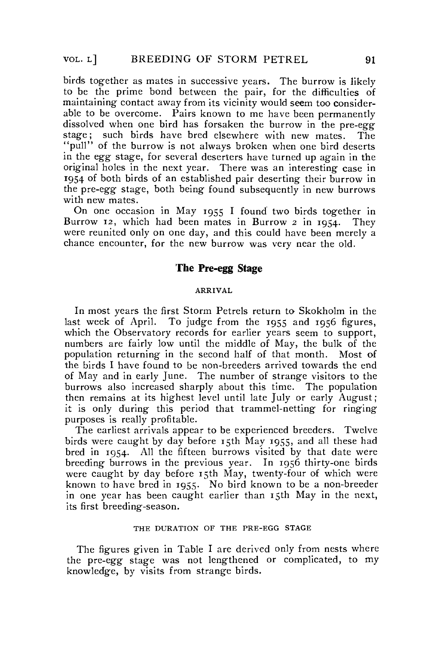birds together as mates in successive years. The burrow is likely to be the prime bond between the pair, for the difficulties of maintaining contact away from its vicinity would seem too considerable to be overcome. Pairs known to me have been permanently dissolved when one bird has forsaken the burrow in the pre-egg stage; such birds have bred elsewhere with new mates. The "pull" of the burrow is not always broken when one bird deserts in the *egg* stage, for several deserters have turned up again in the original holes in the next year. There was an interesting case in 1954 of both birds of an established pair deserting their burrow in the pre-egg stage, both being found subsequently in new burrows with new mates.

On one occasion in May 1955 I found two birds together in Burrow 12, which had been mates in Burrow 2 in 1954. They were reunited only on one day, and this could have been merely a chance encounter, for the new burrow was very near the old.

## The Pre-egg Stage

#### ARRIVAL

In most years the first Storm Petrels return to Skokholm in the last week of April. To judge from the 1955 and 1956 figures, which the Observatory records for earlier years seem to support, numbers are fairly low until the middle of May, the bulk of the population returning in the second half of that month. Most of the birds I have found to be non-breeders arrived towards the end of May and in early June. The number of strange visitors to the burrows also increased sharply about this time. The population then remains at its highest level until late July or early August; it is only during this period that trammel-netting for ringing purposes is really profitable.

The earliest arrivals appear to be experienced breeders. Twelve birds were caught by day before  $\overline{15}$ th May 1955, and all these had bred in 1954. All the fifteen burrows visited by that date were breeding burrows in the previous year. In 1956 thirty-one birds were caught by day before 15th May, twenty-four of which were known to have bred in 1955. No bird known to be a non-breeder in one year has been caught earlier than 15th May in the next, its first breeding-season.

## THE DURATION OF THE PRE-EGG STAGE

The figures given in Table I are derived only from nests where the pre-egg stage was not lengthened or complicated, to my knowledge, by visits from Strange birds.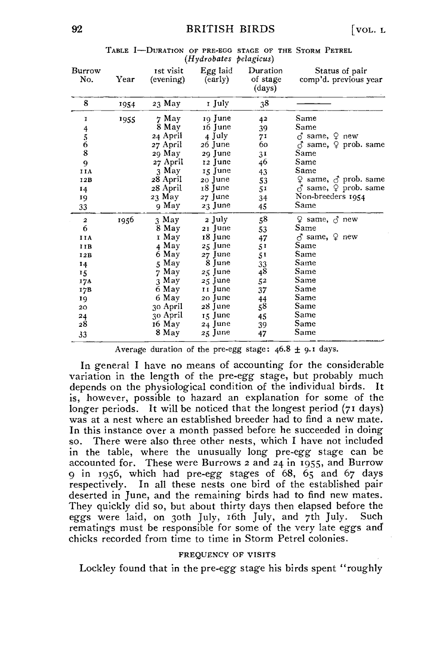|                                            |      |                        | irryarovanes penaguns) |                                |                                         |
|--------------------------------------------|------|------------------------|------------------------|--------------------------------|-----------------------------------------|
| Burrow<br>No.                              | Year | ist visit<br>(evening) | Egg laid<br>(early)    | Duration<br>of stage<br>(days) | Status of pair<br>comp'd. previous year |
| 8                                          | 1954 | 23 May                 | 1 July                 | 38                             |                                         |
| I                                          | 1955 | 7 May                  | 19 June                | 42                             | Same                                    |
|                                            |      | 8 May                  | 16 June                | 39                             | Same                                    |
| $\begin{array}{c} 4 \\ 5 \\ 6 \end{array}$ |      | 24 April               | 4 July                 | 71                             | $\delta$ same, $\varphi$ new            |
|                                            |      | 27 April               | 26 June                | 60                             | ♂ same, ♀ prob. same                    |
| 8                                          |      | 29 May                 | 29 June                | 3 <sup>1</sup>                 | Same                                    |
| 9                                          |      | 27 April               | 12 June                | 46                             | Same                                    |
| IIA                                        |      | 3 May                  | 15 June                | 43                             | Same                                    |
| 12B                                        |      | 28 April               | 20 June                | 53                             | ♀ same, ♂ prob. same                    |
| 14                                         |      | 28 April               | 18 June                | 51                             | $\vec{C}$ same, $\varphi$ prob. same    |
| 19                                         |      | 23 May                 | 27 June                | 34                             | Non-breeders 1954                       |
| 33                                         |      | 9 May                  | 23 June                | 45                             | Same                                    |
| $\mathbf{2}$                               | 1956 | 3 May                  | 2 July                 | ${\bf 58}$                     | ♀ same, ♂ new                           |
| 6                                          |      | 8 May                  | 21 June                | 53                             | ${\tt Same}$                            |
| IIA                                        |      | r May                  | 18 June                | 47                             | $\delta$ same, $\Omega$ new             |
| IIB                                        |      | 4 May                  | 25 June                | 51                             | Same                                    |
| 12B                                        |      | 6 May                  | 27 June                | 51                             | Same                                    |
| 14                                         |      | 5 May                  | 8 June                 | 33                             | Same                                    |
| 15                                         |      | 7 May                  | 25 June                | 48                             | Same                                    |
| 17A                                        |      | 3 May                  | $\sqrt{25}$ June       | 52                             | Same                                    |
| 17B                                        |      | 6 May                  | 11 June                | 37                             | Same                                    |
| 19                                         |      | 6 May                  | 20 June                | 44                             | Same                                    |
| 20                                         |      | 30 April               | 28 June                | 58                             | Same                                    |
| 24                                         |      | 30 April               | 15 June                | 45                             | Same                                    |
| 28                                         |      | 16 May                 | 24 June                | 39                             | Same                                    |
| 33                                         |      | 8 May                  | 25 June                | 47                             | Same                                    |

TABLE I-DURATION OF PRE-EGG STAGE OF THE STORM PETREL *(Hydrobates pelagicus)* 

Average duration of the pre-egg stage:  $46.8 \pm 9.1$  days.

In general I have no means of accounting for the considerable Variation in the length of the pre-egg stage, but probably much depends on the physiological condition of the individual birds. It is, however, possible to hazard an explanation for some of the longer periods. It will be noticed that the longest period (71 days) was at a nest where an established breeder had to find a new mate. In this instance over a month passed before he succeeded in doing so. There were also three other nests, which I have not included in the table, where the unusually long pre-egg stage can be accounted for. These were Burrows 2 and 24 in 1955, and Burrow 9 in 1956, which had pre-egg stages of 68, 65 and 67 days respectively. In all these nests one bird of the established pair deserted in June, and the remaining birds had to find new mates. They quickly did so, but about thirty days then elapsed before the eggs were laid, on 30th July, i6th July, and 71h July. Such rematings must be responsible for some of the very late eggs and' chicks recorded from time to time in Storm Petrel colonies.

#### FREQUENCY OF VISITS

Lockley found that in the pre-egg stage his birds spent "roughly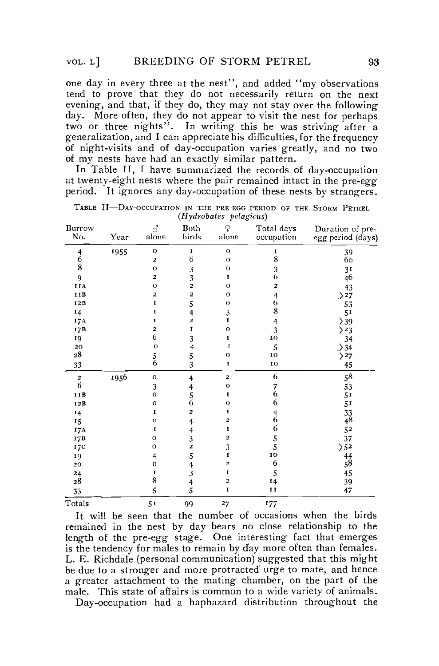one day in every three at the nest", and added "my observations" tend to prove that they do not necessarily return on the next evening, and that, if they do, they may not stay over the following day. More often, they do not appear to visit the nest for perhaps two or three nights". In writing this he was striving after a generalization, and I can appreciatehis difficulties,for the frequency of night-visits and of day-occupation varies greatly, and no two of my nests have had an exactly similar pattern.

In Table II, I have summarized the records of day-occupation at twenty-eight nests where the pair remained intact in the pre-egg period. It ignores any day-occupation of these nests by strangers.

| Burrow<br>No. | Year | ♂<br>alone              | Both<br>birds                              | ¥<br>alone              | Total days<br>occupation              | Duration of pre-<br>egg period (days) |
|---------------|------|-------------------------|--------------------------------------------|-------------------------|---------------------------------------|---------------------------------------|
| 4             | 1955 | o                       | I                                          | $\mathbf{o}$            | I                                     | 39                                    |
| 6             |      | 2                       | 6                                          | $\Omega$                | 8                                     | 60                                    |
| 8             |      | $\circ$                 | 3                                          | $\Omega$                | $\frac{3}{6}$                         | 31                                    |
| 9             |      | 2                       | $\frac{3}{2}$                              | 1                       |                                       | 46                                    |
| IIA           |      | $\mathbf{o}$            |                                            | $\Omega$                | 2                                     | 43                                    |
| IIB           |      | 2                       | 2                                          | $\mathbf{o}$            | $\frac{4}{6}$                         | >27                                   |
| 12B           |      | I                       | 5                                          | $\Omega$                |                                       | 53                                    |
| 14            |      | I                       | $\ddot{\mathbf{4}}$                        | 3                       | 8                                     | 51                                    |
| 17A           |      | I                       | $\overline{\mathbf{c}}$                    | I                       | 4                                     | >39                                   |
| I/7B          |      | $\overline{\mathbf{z}}$ | I                                          | $\Omega$                | 3                                     | >23                                   |
| 19            |      | 6                       | 3                                          | 1                       | 10                                    | 34                                    |
| 20            |      | $\circ$                 | $\ddot{\mathbf{4}}$                        | I                       | 5                                     | .> 34                                 |
| $\bf{^{28}}$  |      | $\frac{5}{6}$           | $\frac{5}{3}$                              | O                       | 10                                    | 27                                    |
| 33            |      |                         |                                            | 1                       | 10                                    | 45                                    |
| $\mathbf 2$   | 1956 | o                       | 4                                          | $\overline{\mathbf{c}}$ | 6                                     | 58                                    |
| 6             |      | 3                       |                                            | $\circ$                 | $\frac{7}{6}$                         | 53                                    |
| IIB           |      | $\circ$                 | $\begin{array}{c} 4 \\ 5 \\ 6 \end{array}$ | I                       |                                       | 51                                    |
| 12B           |      | $\circ$                 |                                            | $\Omega$                | 6                                     | 51                                    |
| 14            |      | I                       | 2                                          | $\bf{I}$                | $\begin{array}{c} 4 \\ 6 \end{array}$ | $\frac{33}{48}$                       |
| 15            |      | $\circ$                 | 4                                          | 2                       |                                       |                                       |
| I7A           |      | I                       |                                            | I                       | 6                                     | 52                                    |
| 17B           |      | $\circ$                 | $\begin{array}{c} 4 \\ 3 \\ 2 \end{array}$ | 2                       | $\frac{5}{5}$                         | 37                                    |
| 17C           |      | o                       |                                            | 3                       |                                       | 5 <sup>2</sup>                        |
| 19            |      | $\overline{4}$          | 5                                          | $\mathbf{I}$            | 10                                    | $^{44}_{58}$                          |
| 20            |      | $\circ$                 |                                            | 2                       | 6                                     |                                       |
| 24            |      | I                       | $\frac{4}{3}$                              | I                       | 5                                     | 45                                    |
| 28            |      | 8                       | $\ddot{\mathbf{4}}$                        | $\overline{\mathbf{z}}$ | 14                                    | 39                                    |
| 33            |      | 5                       | 5                                          | $\mathbf I$             | 11                                    | 47                                    |
| Totals        |      | 51                      | 99                                         | 27                      | 177                                   |                                       |

TABLE II—DAY-OCCUFATION IN THE PRE-EGG PERIOD OF THE STORM PETREL *(Hydrobates pelagicus)* 

It will be seen that the number of occasions when the birds remained in the nest by day bears no close relationship to the length of the pre-egg stage. One interesting fact that emerges is the tendency for males to remain by day more often than females. L. E. Richdale (personal communication) suggested that this might be due to a stronger and more protracted urge to mate, and hence a greater attachment to the mating Chamber, on the part of the male. This state of affairs is common to a wide variety of animals.

Day-occupation had a haphazard distribution throughout the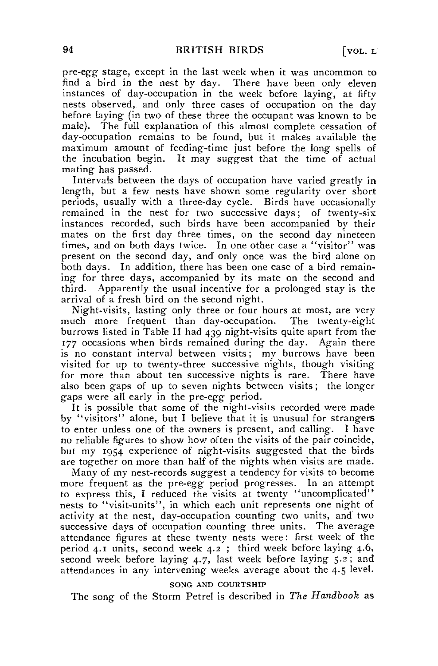pre-egg stage, except in the last week when it was uncommon to find a bird in the nest by day. There have been only eleven instances of day-occupation in the week before laying, at fifty nests observed, and only three cases of occupation on the day before laying (in two of these three the occupant was known to be male). The füll explanation of this almost complete cessation of day-occupation remains to be found, but it makes available the maximum amount of feeding-time just before the long spells of the incubation begin. It may suggest that the time of actual mating has passed.

Intervals between the days of occupation have varied greatly in length, but a few nests have shown some regularity over short periods, usually with a three-day cycle. Birds have occasionally remained in the nest for two successive days; of twenty-six instances recorded, such birds have been accompanied by their mates on the first day three times, on the second day nineteen times, and on both days twice. In one other case a "visitor" was present on the second day, and only once was the bird alone on both days. In addition, there has been one case of a bird remaining for three days, accompanied by its mate on the second and third. Apparently the usual incentive for a prolonged stay is the arrival of a fresh bird on the second night.

Night-visits, lasting only three or four hours at most, are very much more frequent than day-occupation. The twenty-eight burrows listed in Table II had 439 night-visits quite apart from the 177 occasions when birds remained during the day. Again there is no constant interval between visits; my burrows have been visited for up to twenty-three successive nights, though visitingfor more than about ten successive nights is rare. There have also been gaps of up to seven nights between visits; the longer gaps were all early in the pre-egg period.

It is possible that some of the night-visits recorded were made by "visitors" alone, but I believe that it is unusual for strangers to enter unless one of the owners is present, and cailing. I have no reliable figures to show how often the visits of the pair coincide, but my 1954 experience of night-visits suggested that the birds are together on more than half of the nights when visits are made.

Many of my nest-records suggest a tendency for visits to become more frequent as the pre-egg period progresses. In an attempt to express this, I reduced the visits at twenty "uncomplicated" nests to "visit-units", in which each unit represents one night of activity at the nest, day-occupation counting two units, and two successive days of occupation counting three units. The average attendance figures at these twenty nests were: first week of the period 4.1 units, second week 4.2 ; third week before laying 4.6, second week before laying 4.7, last week before laying 5.2 ; and attendances in any intervening weeks average about the 4.5 level.

## SONG AND COURTSHIP

The song of the Storm Petrel is described in *The Handbook* as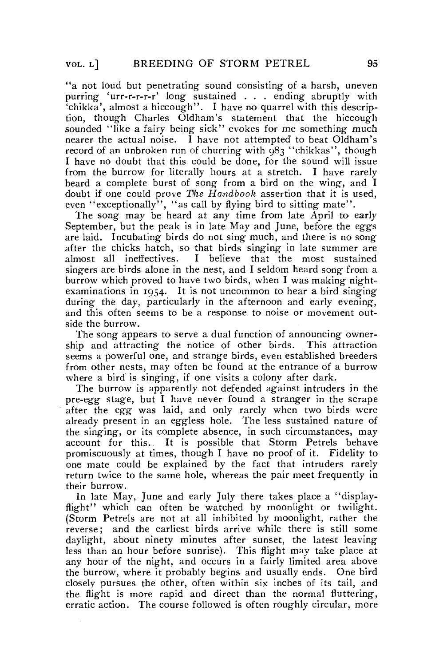" a not loud but penetrating sound consisting of a harsh, uneven purring 'urr-r-r-r-r' long sustained . . . ending abruptly with 'chikka', almost a hiccough". I have no quarrel with this description, though Charles Oldham's Statement that the hiccough sounded "like a fairy being sick" evokes for me something much nearer the actual noise.  $\tilde{I}$  have not attempted to beat Oldham's record of an unbroken run of churring with 983 "chikkas", though I have no doubt that this could be done, for the sound will issue from the burrow for literally hours at a Stretch. I have rarely heard a complete burst of song from a bird on the wing, and I doubt if one could prove *The Handbook* assertion that it is used, even "exceptionally", "as call by flying bird to sitting mate".

The song may be heard at any time from late April to early September, but the peak is in late May and June, before the eggs are laid. Incubating birds do not sing much, and there is no song after the chicks hatch, so that birds singing in late summer are almost all ineffectives. I believe that the most sustained singers are birds alone in the nest, and I seldom heard song from a burrow which proved to have two birds, when I was making nightexaminations in 1954. It is not uncommon to hear a bird singing during the day, particularly in the afternoon and early evening, and this often seems to be a response to noise or movement outside the burrow.

The song appears to serve a dual function of announcing ownership and attracting the notice of other birds. This attraction seems a powerful one, and strange birds, even established breeders from other nests, may often be found at the entrance of a burrow where a bird is singing, if one visits a colony after dark.

The burrow is apparently not defended against intruders in the pre-egg stage, but I have never found a stranger in the scrape after the *egg* was laid, and only rarely when two birds were already present in an eggless hole. The less sustained nature of the singing, or its complete absence, in such circumstances, may account for this.. It is possible that Storm Petrels behave promiscuously at times, though I have no proof of it. Fidelity to one mate could be explained by the fact that intruders rarely return twice to the same hole, whereas the pair meet frequently in their burrow.

In late May, June and early July there takes place a "displayflight" which can often be watched by moonlight or twilight. (Storm Petrels are not at all inhibited by moonlight, rather the reverse; and the earliest birds arrive while there is still some daylight, about ninety minutes after sunset, the latest leaving less than an hour before sunrise). This flight may take place at any hour of the night, and occurs in a fairly limited area above the burrow, where it probably begins and usually ends. One bird closely pursues the other, often within six inches of its tail, and the flight is more rapid and direct than the normal fluttering, erratic action. The course followed is often roughly circular, more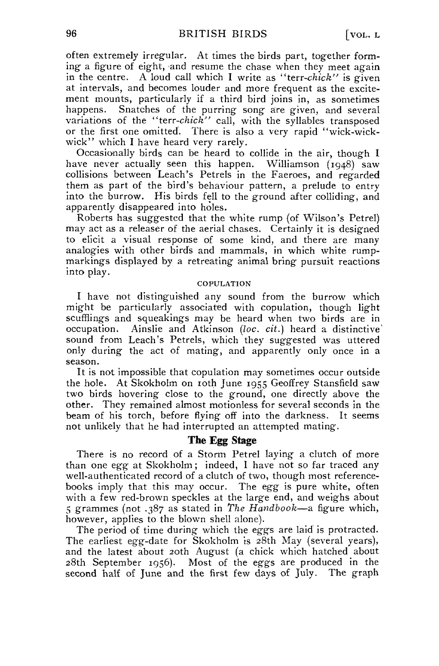often extremely irregulär, At times the birds part, together forming- a figure of eight, and resume the chase when they meet again in the centre. A loud call which I write as "terr-chick" is given at intervals, and becomes louder and more frequent as the excitement mounts, particularly if a third bird joins in, as sometimes happens. Snatches of the purring song are given, and several variations of the *"terr-chick"* call, with the syllables transposed or the first one omitted. There is also a very rapid "wick-wickwick" which I have heard very rarely.

Occasionally birds can be heard to collide in the air, though I have never actually seen this happen. Williamson (1948) saw collisions between Leach's Petrels in the Faeroes, and regarded them as part of the bird's behaviour pattern, a prelude to entry into the burrow. His birds feil to the ground after colliding, and apparently disappeared into holes.

Roberts has suggested that the white rump (of Wilson's Petrel) may act as a releaser of the aerial chases. Certainly it is designed to elicit a visual response of some kind, and there are many analogies with other birds and mammals, in which white rumpmarkings displayed by a retreating animal bring pursuit reactions into play.

## COPULATION

I have not distinguished any sound from the burrow which might be particularly associated with copulation, though light scufflings and squeakings may be heard when two birds are in occupation. Ainslie and Atkinson *(loc. cit.)* heard a distinctive' sound from Leach's Petrels, which they suggested was uttered only during the act of mating, and apparently only once in a season.

It is not impossible that copulation may sometimes occur outside the hole. At Skokholm on loth June 1955 Geoffrey Stansfield saw two birds hovering close to the ground, one directly above the other. They remained almost motionless for several seconds in the beam of his torch, before flying off into the darkness. It seems not unlikely that he had interrupted an attempted mating.

## **The Egg Stage**

There is no record of a Storm Petrel laying a clutch of more than one *egg* at Skokholm; indeed, I have not so far traced any well-authenticated record of a clutch of two, though most referencebooks imply that this may occur. The *egg* is pure white, often with a few red-brown speckies at the large end, and weighs about 5 grammes (not .387 as stated in *The Handbook*—a figure which, however, applies to the blown shell alone).

The period of time during which the eggs are laid is protracted. The earliest egg-date for Skokholm is 28th May (several years), and the latest about 2oth August (a chick which hatched about 28th September 1956). Most of the eggs are produced in the second half of June and the first few days of July. The graph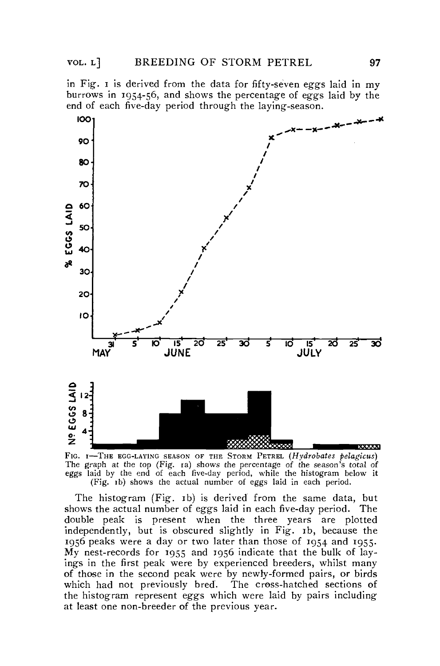in Fig. i is derived from the data for fifty-seven eggs laid in my burrows in 1954-56, and shows the percentage of eggs laid by the end of each five-day period through the laying-season.



FIG. 1—THE EGG-LAYING SEASON OF THE STORM PETREL *(Hydrobates pelagicus)*  The graph at the top (Fig. 1a) shows the percentage of the season's total of eggs laid by the end of each five-day period, while the histogram below it (Fig. ib) shows the actual number of eggs laid in each period.

The histogram (Fig. ib) is derived from the same data, but shows the actual number of eggs laid in each five-day period. The double peak is present when the three years are plotted independently, but is obscured slightly in Fig. ib, because the 1956 peaks were a day or two later than those of 1954 and 1955. My nest-records for 1955 and 1956 indicate that the bulk of layings in the first peak were by experienced breeders, whilst many of those in the second peak were by newly-formed pairs, or birds which had not previously bred. The cross-hatched sections of the histogram represent eggs which were laid by pairs including at least one non-breeder of the previous year.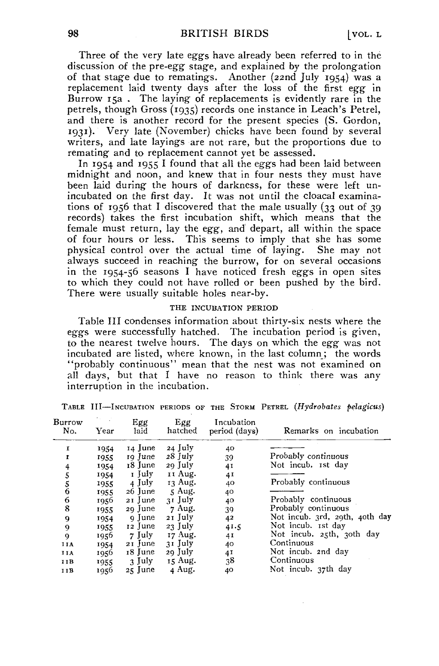Three of the very late eggs have already been referred to in the discussion of the pre-egg stage, and explained by the prolongation of that stage due to rematings. Another (22nd July 1954) was a replacement laid twenty days after the loss of the first *egg* in Burrow 15a. The laying of replacements is evidently rare in the petrels, though Gross (1935) records one instance in Leach's Petrel, and there is another record for the present species (S. Gordon, 1931). Very late (November) chicks have been found by several writers, and late layings are not rare, but the proportions due to remating and to replacement cannot yet be assessed.

In 1954 and 1955 I found that all the eggs had been laid between midnight and noon, and knew that in four nests they must have been laid during the hours of darkness, for these were left unincubated on the first day. It was not until the cloacal examinations of 1956 that I discovered that the male usually (33 out of 39 records) takes the first incubation shift, which means that the female must return, lay the *egg,* and depart, all within the space of four hours or less. This seems to imply that she has some physical control over the actual time of laying. She may not always succeed in reaching the burrow, for on several occasions in the 1954-56 seasons I have noticed fresh eggs in open sites to which they could not have rolled or been pushed by the bird. There were usually suitable holes near-by.

## THE INCUBATION PERIOD

Table III condenses information about thirty-six nests where the eggs were successfully hatched. The incubation period is given, to the nearest twelve hours. The days on which the *egg* was not incubated are listed, where known, in the last column; the words "probably continuous" mean that the nest was not examined on all days, but that I have no reason to think there was any interruption in the incubation.

| Burrow<br>No. | Year | Egg<br>laid | Egg<br>hatched | Incubation<br>period (days) | Remarks on incubation          |
|---------------|------|-------------|----------------|-----------------------------|--------------------------------|
| I             | 1954 | 14 June     | $24$ July      | 40                          |                                |
| 1             | 1955 | 19 June     | $28$ July      | 39                          | Probably continuous            |
| 4             | 1954 | 18 June     | 29 July        | 41                          | Not incub. ist day             |
| 5             | 1954 | 1 July      | II Aug.        | 41                          |                                |
|               | 1955 | 4 July      | 13 Aug.        | 40                          | Probably continuous            |
| $\frac{5}{6}$ | 1955 | 26 June     | 5 Aug.         | 40                          |                                |
| 6             | 1956 | $21$ June   | 31 July        | 40                          | Probably continuous            |
| 8             | 1955 | 29 June     | $7$ Aug.       | 39                          | Probably continuous            |
| 9             | 1954 | 9 June      | 21 July        | 42                          | Not incub. 3rd, 29th, 40th day |
| 9             | 1955 | $12$ June   | $23$ July      | 41.5                        | Not incub. Ist day             |
| 9             | 1956 | $7$ July    | 17 Aug.        | 41                          | Not incub. 25th, 30th day      |
| IIA           | 1954 | 21 June     | 31 July        | 40                          | Continuous                     |
| IIA           | 1956 | 18 June     | 29 July        | 41                          | Not incub. 2nd day             |
| IIB           | 1955 | 3 July      | 15 Aug.        | 38                          | Continuous                     |
| III           | 1956 | 25 June     | 4 Aug.         | 40                          | Not incub. 37th day            |

TABLE III—INCUBATION PERIODS OF THE STORM PETREL *(Hydrobates pelagicus)*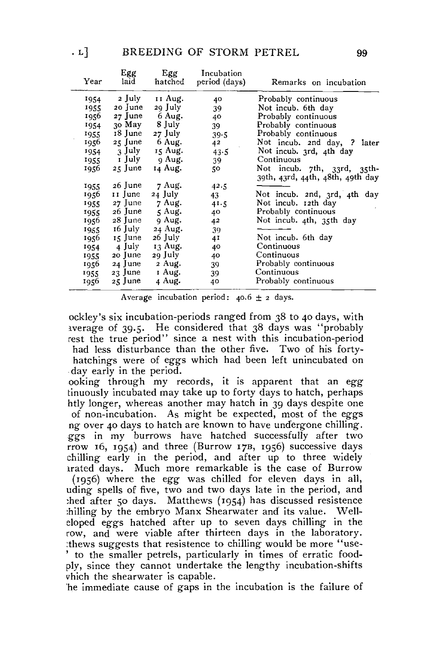| Year  | Egg<br>laid | Egg<br>hatched | Incubation<br>period (days) | Remarks on incubation            |
|-------|-------------|----------------|-----------------------------|----------------------------------|
| 1954  | 2 July      | 11 Aug.        | 40                          | Probably continuous              |
| 1955  | $20$ June   | 29 July        | 39                          | Not incub. 6th day               |
| 1956  | $27$ June   | 6 Aug.         | 40                          | Probably continuous              |
| 1954  | 30 May      | 8 July         | 39                          | Probably continuous              |
| 1955  | 18 June     | 27 July        | 39.5                        | Probably continuous              |
| 1956. | $25$ June   | 6 Aug.         | 42                          | Not incub. 2nd day, ? later      |
| 1954  | 3 July      | 15 Aug.        | 43.5                        | Not incub. 3rd, 4th day          |
| 1955  | r July      | 9 Aug.         | 39                          | Continuous                       |
| 1956- | 25 June     | 14 Aug.        | 50                          | Not incub. 7th, 33rd, 35th-      |
|       |             |                |                             | 39th, 43rd, 44th, 48th, 49th day |
| 1955  | 26 June     | 7 Aug.         | 42.5                        |                                  |
| 1956. | rr June-    | 24 July        | 43                          | Not incub. 2nd, 3rd, 4th day     |
| 1955  | 27 June     | 7 Aug.         | 41.5                        | Not incub. 12th day              |
| 1955  | 26 June     | $\leq$ Aug.    | 40                          | Probably continuous              |
| 1956  | 28 June     | 9 Aug.         | 42                          | Not incub. 4th, 35th day         |
| 1955  | 16 July     | 24 Aug.        | 39                          |                                  |
| 1956  | 15 June     | 26 July        | 41                          | Not incub. 6th day               |
| 1954  | 4 July      | 13 Aug.        | 40                          | Continuous                       |
| 1955  | 20 June     | 29 July        | 40                          | Continuous                       |
| 1956. | 24 June     | 2 Aug.         | 39                          | Probably continuous              |
| 1955  | 23 June     | 1 Aug.         | 39                          | Continuous                       |
| 1956  | 25 June     | 4 Aug.         | 40                          | Probably continuous              |

Average incubation period:  $40.6 \pm 2$  days.

ockley's six incubation-periods ranged from 38 to 40 days, with iverage of 39.5. He considered that 38 days was "probably rest the true period" since a nest with this incubation-period had less disturbance than the other five. Two of his fortyhatchings were of eggs which had been left unincubated on day early in the period.

ooking through my records, it is apparent that an *egg*  tinuously incubated rnay take up to forty days to hatch, perhaps htly longer, whereas another may hatch in 39 days despite one of non-incubation. As might be expected, most of the eggs ng over 40 days to hatch are known to have undergone chilling. ggs in my burrows have hatched successfully after two rrow 16, 1954) and three (Burrow 17B, 1956) successive days chilling early in the period, and after up to three widely irated days. Much more remarkable is the case of Burrow (1956) where the *egg* was chilled for eleven days in all, uding spells of five, two and two days late in the period, and ;hed after 50 days. Matthews (1954) has discussed resistence :hilling by the embryo Manx Shearwater and its value. Welleloped eggs hatched after up to seven days chilling in the row, and were viable after thirteen days in the laboratory. rthews suggests that resistence to chilling would be more "use - ' to the smaller petrels, particularly in times of erratic foodply, since they cannot undertake the lengthy incubation-shifts vhich the shearwater is capable.

he immediate cause of gaps in the incubation is the failure of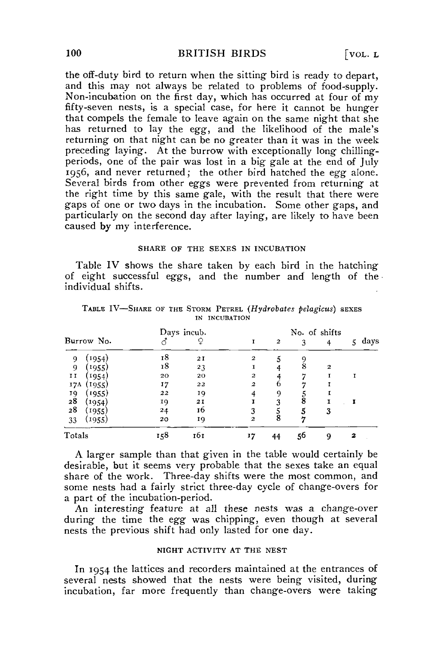the off-duty bird to return when the sitting bird is ready to depart, and this may not always be related to problems of food-supply. Non-incubation on the first day, which has occurred at four of my fifty-seven nests, is a special case, for here it cannot be hunger that compels the female to leave again on the same night that she has returned to lay the egg, and the likelihood of the male's returning on that night ean be no greater than it was in the week preceding laying. At the burrow with exceptionally long chillingperiods, one of the pair was lost in a big gale at the end of July 1956, and never returned; the other bird hatched the *egg* alone. Several birds from other eggs were prevented from returning at the right time by this same gale, with the result that there were gaps of one or two days in the incubation. Some other gaps, and particularly on the second day after laying, are likely to have been caused by my interference.

## SHARE OF THE SEXES IN INCUBATION

Table IV shows the share taken by each bird in the hatching of eight successful eggs, and the number and length of the individual shifts.

|                           | Days incub. |     | No. of shifts    |                  |    |              |           |  |
|---------------------------|-------------|-----|------------------|------------------|----|--------------|-----------|--|
| Burrow No.                |             |     |                  | $\boldsymbol{2}$ |    |              | days<br>5 |  |
| (1954)<br>9               | 18          | 21  | $\mathbf{2}$     | 5                | 9  |              |           |  |
| (1955)<br>9               | 18          | 23  |                  |                  | 8  | $\mathbf{2}$ |           |  |
| $\mathbf{I}$<br>1954      | 20          | 20  | $\mathbf{z}$     |                  | די |              |           |  |
| 17A<br>(1955)             | 17          | 22  | $\boldsymbol{2}$ | n                |    |              |           |  |
| (1955)                    | 22          | 19  |                  | 9                |    |              |           |  |
| $\frac{19}{28}$<br>(1954) | 19          | 21  |                  | 3                | 8  |              |           |  |
| 28<br>(1955)              | 24          | 16  | 3                | 5                |    | 3            |           |  |
| (1955)<br>33              | 20          | 19  | 2                | 8                |    |              |           |  |
| Totals                    | 158         | 161 | 17               | 44               | 56 | ۰            | 2         |  |

TABLE IV—SHARE OF THE STORM PETREL *{Hydrobates pelagicus)* SEXES IN INCUBATION

A larger sample than that given in the table would certainly be desirable, but it seems very probable that the sexes take an equal share of the work. Three-day shifts were the most common, and some nests had a fairly strict three-day cycle of change-overs for a part of the incubation-period.

An interesting feature at all these nests was a change-over during the time the *egg* was chipping, even though at several nests the previous shift had only lasted for one day.

## NIGHT ACTIVITY AT THE NEST

In 1954 the lattices and recorders maintained at the entrances of several nests showed that the nests were being visited, during incubation, far more frequently than change-overs were taking